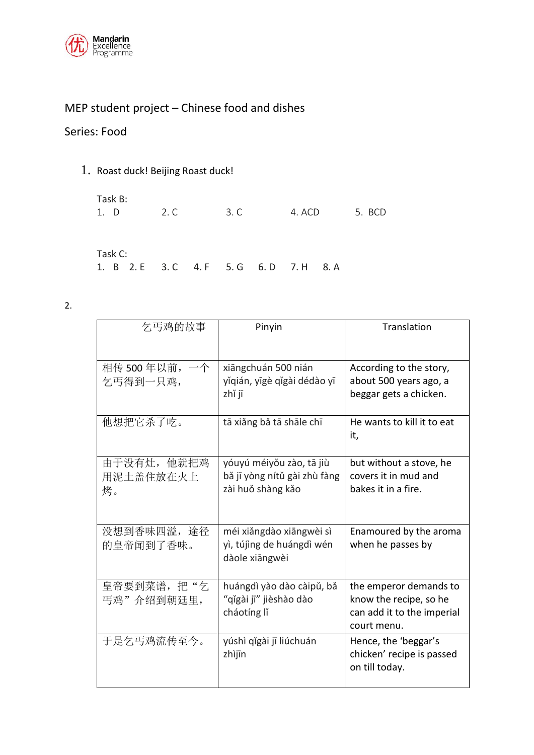

# MEP student project – Chinese food and dishes

## Series: Food

### 1. Roast duck! Beijing Roast duck!

| Task B:                                 |      |      |        |        |  |
|-----------------------------------------|------|------|--------|--------|--|
| 1. D                                    | 2. C | 3. C | 4. ACD | 5. BCD |  |
|                                         |      |      |        |        |  |
|                                         |      |      |        |        |  |
| Task C:                                 |      |      |        |        |  |
| 1. B 2. E 3. C 4. F 5. G 6. D 7. H 8. A |      |      |        |        |  |

2.

| 乞丐鸡的故事                         | Pinyin                                                                        | Translation                                                                                   |
|--------------------------------|-------------------------------------------------------------------------------|-----------------------------------------------------------------------------------------------|
| 相传 500 年以前, 一个<br>乞丐得到一只鸡,     | xiāngchuán 500 nián<br>yǐqián, yīgè qǐgài dédào yī<br>zhǐ jī                  | According to the story,<br>about 500 years ago, a<br>beggar gets a chicken.                   |
| 他想把它杀了吃。                       | tā xiǎng bǎ tā shāle chī                                                      | He wants to kill it to eat<br>it,                                                             |
| 由于没有灶, 他就把鸡<br>用泥土盖住放在火上<br>烤。 | yóuyú méiyǒu zào, tā jiù<br>bă jī yòng nítǔ gài zhù fàng<br>zài huǒ shàng kǎo | but without a stove, he<br>covers it in mud and<br>bakes it in a fire.                        |
| 没想到香味四溢, 途径<br>的皇帝闻到了香味。       | méi xiǎngdào xiāngwèi sì<br>yì, tújìng de huángdì wén<br>dàole xiāngwèi       | Enamoured by the aroma<br>when he passes by                                                   |
| 皇帝要到菜谱, 把"乞<br>丐鸡"介绍到朝廷里,      | huángdì yào dào càipǔ, bǎ<br>"qǐgài jī" jièshào dào<br>cháotíng lí            | the emperor demands to<br>know the recipe, so he<br>can add it to the imperial<br>court menu. |
| 于是乞丐鸡流传至今。                     | yúshì qǐgài jī liúchuán<br>zhìjīn                                             | Hence, the 'beggar's<br>chicken' recipe is passed<br>on till today.                           |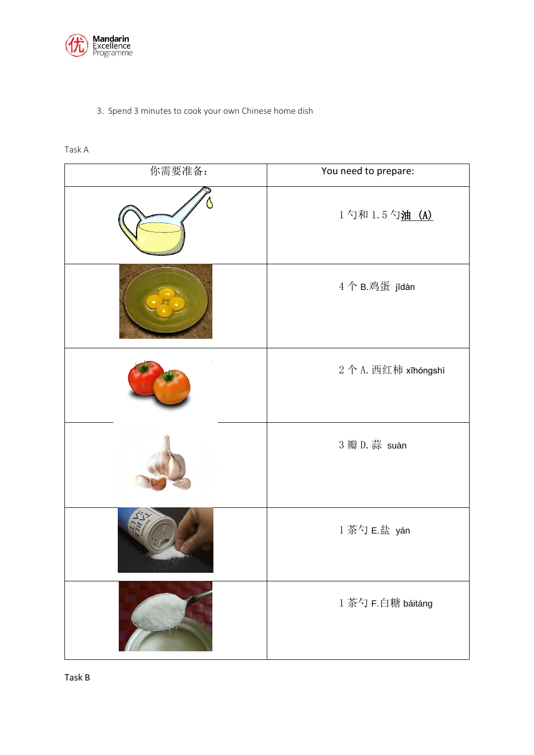

#### 3. Spend 3 minutes to cook your own Chinese home dish

| 你需要准备: | You need to prepare: |
|--------|----------------------|
|        | 1勺和 1.5勺油 (A)        |
|        | 4个B.鸡蛋 jīdàn         |
|        | 2个A. 西红柿 xīhóngshì   |
|        | 3 瓣 D. 蒜 suàn        |
|        | 1 茶勺 E.盐 yán         |
|        | 1 茶勺 F.白糖 báitáng    |

#### Task A